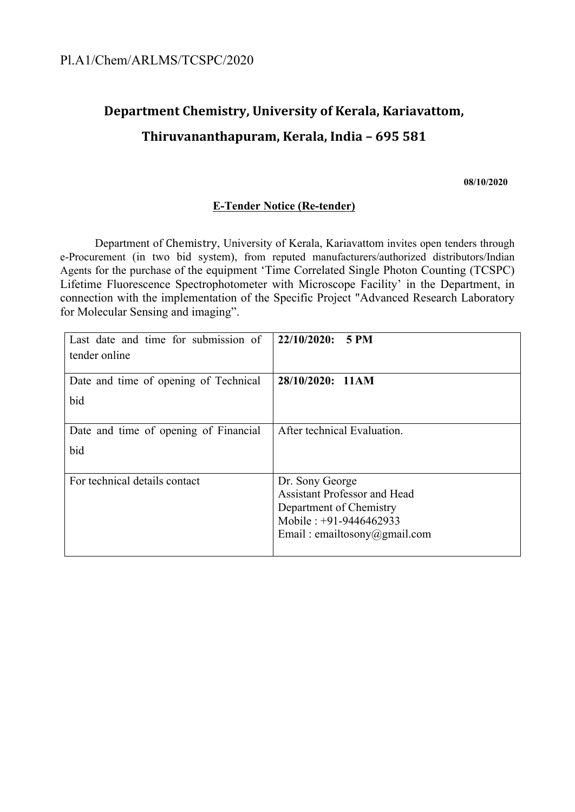# **Department Chemistry, University of Kerala, Kariavattom, Thiruvananthapuram, Kerala, India – 695 581**

**08/10/2020**

#### **E-Tender Notice (Re-tender)**

Department of Chemistry, University of Kerala, Kariavattom invites open tenders through e-Procurement (in two bid system), from reputed manufacturers/authorized distributors/Indian Agents for the purchase of the equipment 'Time Correlated Single Photon Counting (TCSPC) Lifetime Fluorescence Spectrophotometer with Microscope Facility' in the Department, in connection with the implementation of the Specific Project "Advanced Research Laboratory for Molecular Sensing and imaging".

| Last date and time for submission of  | 22/10/2020:<br><b>5 PM</b>          |
|---------------------------------------|-------------------------------------|
| tender online                         |                                     |
| Date and time of opening of Technical | 28/10/2020: 11AM                    |
| bid                                   |                                     |
|                                       |                                     |
| Date and time of opening of Financial | After technical Evaluation.         |
| bid                                   |                                     |
|                                       |                                     |
| For technical details contact         | Dr. Sony George                     |
|                                       | <b>Assistant Professor and Head</b> |
|                                       | Department of Chemistry             |
|                                       | Mobile : $+91-9446462933$           |
|                                       | Email: emailtosony@gmail.com        |
|                                       |                                     |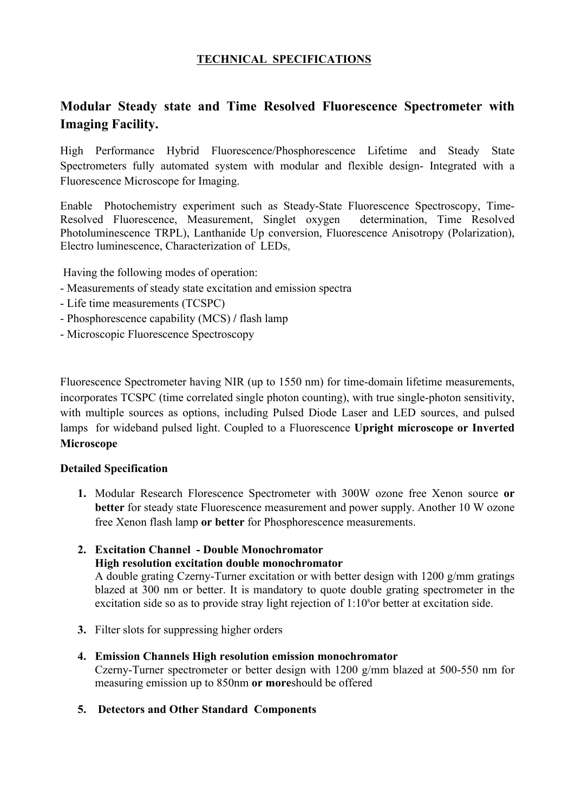# **TECHNICAL SPECIFICATIONS**

# **Modular Steady state and Time Resolved Fluorescence Spectrometer with Imaging Facility.**

High Performance Hybrid Fluorescence/Phosphorescence Lifetime and Steady State Spectrometers fully automated system with modular and flexible design- Integrated with a Fluorescence Microscope for Imaging.

Enable Photochemistry experiment such as Steady-State Fluorescence Spectroscopy, Time-Resolved Fluorescence, Measurement, Singlet oxygen determination, Time Resolved Photoluminescence TRPL), Lanthanide Up conversion, Fluorescence Anisotropy (Polarization), Electro luminescence, Characterization of LEDs,

Having the following modes of operation:

- Measurements of steady state excitation and emission spectra
- Life time measurements (TCSPC)
- Phosphorescence capability (MCS) **/** flash lamp
- Microscopic Fluorescence Spectroscopy

Fluorescence Spectrometer having NIR (up to 1550 nm) for time-domain lifetime measurements, incorporates TCSPC (time correlated single photon counting), with true single-photon sensitivity, with multiple sources as options, including Pulsed Diode Laser and LED sources, and pulsed lamps for wideband pulsed light. Coupled to a Fluorescence **Upright microscope or Inverted Microscope** 

#### **Detailed Specification**

- **1.** Modular Research Florescence Spectrometer with 300W ozone free Xenon source **or better** for steady state Fluorescence measurement and power supply. Another 10 W ozone free Xenon flash lamp **or better** for Phosphorescence measurements.
- **2. Excitation Channel Double Monochromator High resolution excitation double monochromator** A double grating Czerny-Turner excitation or with better design with 1200 g/mm gratings blazed at 300 nm or better. It is mandatory to quote double grating spectrometer in the
- **3.** Filter slots for suppressing higher orders
- **4. Emission Channels High resolution emission monochromator** Czerny-Turner spectrometer or better design with 1200 g/mm blazed at 500-550 nm for measuring emission up to 850nm **or more**should be offered

excitation side so as to provide stray light rejection of  $1:10<sup>8</sup>$ or better at excitation side.

**5. Detectors and Other Standard Components**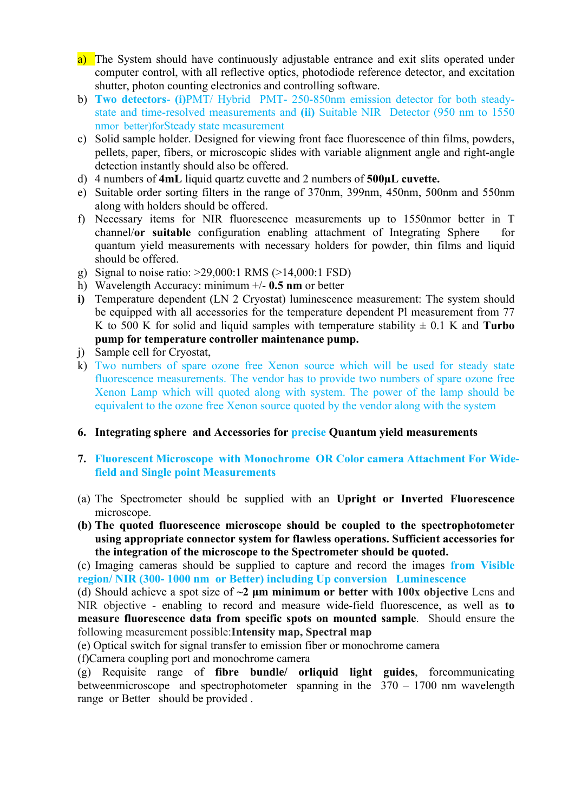- a) The System should have continuously adjustable entrance and exit slits operated under computer control, with all reflective optics, photodiode reference detector, and excitation shutter, photon counting electronics and controlling software.
- b) **Two detectors (i)**PMT/ Hybrid PMT- 250-850nm emission detector for both steadystate and time-resolved measurements and **(ii)** Suitable NIR Detector (950 nm to 1550 nmor better)forSteady state measurement
- c) Solid sample holder. Designed for viewing front face fluorescence of thin films, powders, pellets, paper, fibers, or microscopic slides with variable alignment angle and right-angle detection instantly should also be offered.
- d) 4 numbers of **4mL** liquid quartz cuvette and 2 numbers of **500µL cuvette.**
- e) Suitable order sorting filters in the range of 370nm, 399nm, 450nm, 500nm and 550nm along with holders should be offered.
- f) Necessary items for NIR fluorescence measurements up to 1550nmor better in T channel/**or suitable** configuration enabling attachment of Integrating Sphere for quantum yield measurements with necessary holders for powder, thin films and liquid should be offered.
- g) Signal to noise ratio: >29,000:1 RMS (>14,000:1 FSD)
- h) Wavelength Accuracy: minimum +/- **0.5 nm** or better
- **i)** Temperature dependent (LN 2 Cryostat) luminescence measurement: The system should be equipped with all accessories for the temperature dependent Pl measurement from 77 K to 500 K for solid and liquid samples with temperature stability  $\pm$  0.1 K and **Turbo pump for temperature controller maintenance pump.**
- j) Sample cell for Cryostat,
- k) Two numbers of spare ozone free Xenon source which will be used for steady state fluorescence measurements. The vendor has to provide two numbers of spare ozone free Xenon Lamp which will quoted along with system. The power of the lamp should be equivalent to the ozone free Xenon source quoted by the vendor along with the system

#### **6. Integrating sphere and Accessories for precise Quantum yield measurements**

- **7. Fluorescent Microscope with Monochrome OR Color camera Attachment For Widefield and Single point Measurements**
- (a) The Spectrometer should be supplied with an **Upright or Inverted Fluorescence**  microscope.
- **(b) The quoted fluorescence microscope should be coupled to the spectrophotometer using appropriate connector system for flawless operations. Sufficient accessories for the integration of the microscope to the Spectrometer should be quoted.**

(c) Imaging cameras should be supplied to capture and record the images **from Visible region/ NIR (300- 1000 nm or Better) including Up conversion Luminescence** 

(d) Should achieve a spot size of **~2 μm minimum or better with 100x objective** Lens and NIR objective - enabling to record and measure wide-field fluorescence, as well as **to measure fluorescence data from specific spots on mounted sample**. Should ensure the following measurement possible:**Intensity map, Spectral map**

(e) Optical switch for signal transfer to emission fiber or monochrome camera

(f)Camera coupling port and monochrome camera

(g) Requisite range of **fibre bundle/ orliquid light guides**, forcommunicating betweenmicroscope and spectrophotometer spanning in the 370 – 1700 nm wavelength range or Better should be provided .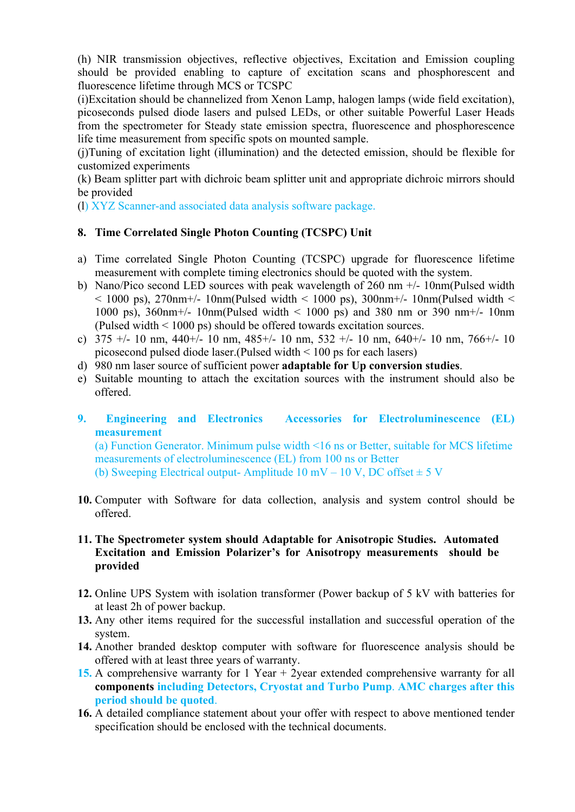(h) NIR transmission objectives, reflective objectives, Excitation and Emission coupling should be provided enabling to capture of excitation scans and phosphorescent and fluorescence lifetime through MCS or TCSPC

(i)Excitation should be channelized from Xenon Lamp, halogen lamps (wide field excitation), picoseconds pulsed diode lasers and pulsed LEDs, or other suitable Powerful Laser Heads from the spectrometer for Steady state emission spectra, fluorescence and phosphorescence life time measurement from specific spots on mounted sample.

(j)Tuning of excitation light (illumination) and the detected emission, should be flexible for customized experiments

(k) Beam splitter part with dichroic beam splitter unit and appropriate dichroic mirrors should be provided

(l) XYZ Scanner-and associated data analysis software package.

## **8. Time Correlated Single Photon Counting (TCSPC) Unit**

- a) Time correlated Single Photon Counting (TCSPC) upgrade for fluorescence lifetime measurement with complete timing electronics should be quoted with the system.
- b) Nano/Pico second LED sources with peak wavelength of 260 nm +/- 10nm(Pulsed width  $<$  1000 ps), 270nm+/- 10nm(Pulsed width  $<$  1000 ps), 300nm+/- 10nm(Pulsed width  $<$ 1000 ps), 360nm+/- 10nm(Pulsed width < 1000 ps) and 380 nm or 390 nm+/- 10nm (Pulsed width < 1000 ps) should be offered towards excitation sources.
- c)  $375 +/- 10$  nm,  $440+/- 10$  nm,  $485+/- 10$  nm,  $532 +/- 10$  nm,  $640+/- 10$  nm,  $766+/- 10$ picosecond pulsed diode laser.(Pulsed width < 100 ps for each lasers)
- d) 980 nm laser source of sufficient power **adaptable for Up conversion studies**.
- e) Suitable mounting to attach the excitation sources with the instrument should also be offered.
- **9. Engineering and Electronics Accessories for Electroluminescence (EL) measurement**

(a) Function Generator. Minimum pulse width <16 ns or Better, suitable for MCS lifetime measurements of electroluminescence (EL) from 100 ns or Better (b) Sweeping Electrical output- Amplitude 10 mV – 10 V, DC offset  $\pm$  5 V

**10.** Computer with Software for data collection, analysis and system control should be offered.

#### **11. The Spectrometer system should Adaptable for Anisotropic Studies. Automated Excitation and Emission Polarizer's for Anisotropy measurements should be provided**

- **12.** Online UPS System with isolation transformer (Power backup of 5 kV with batteries for at least 2h of power backup.
- **13.** Any other items required for the successful installation and successful operation of the system.
- **14.** Another branded desktop computer with software for fluorescence analysis should be offered with at least three years of warranty.
- 15. A comprehensive warranty for 1 Year + 2year extended comprehensive warranty for all **components including Detectors, Cryostat and Turbo Pump**. **AMC charges after this period should be quoted**.
- **16.** A detailed compliance statement about your offer with respect to above mentioned tender specification should be enclosed with the technical documents.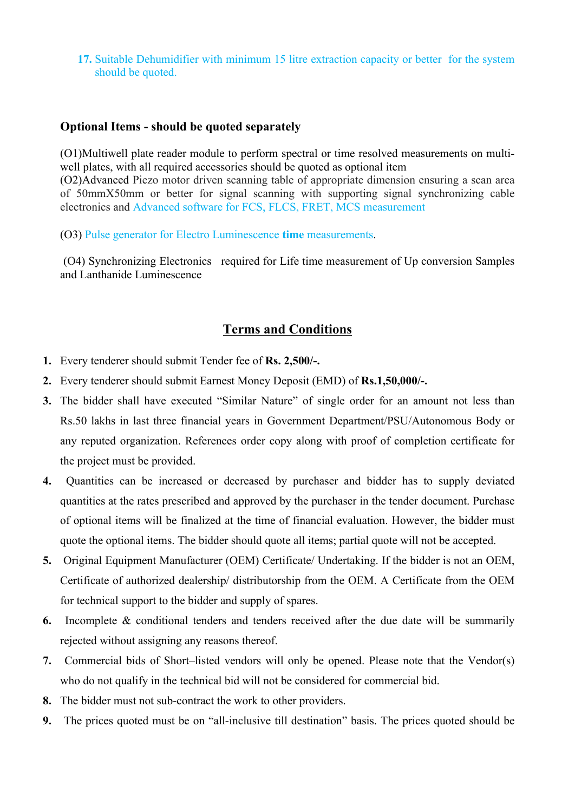**17.** Suitable Dehumidifier with minimum 15 litre extraction capacity or better for the system should be quoted.

## **Optional Items - should be quoted separately**

(O1)Multiwell plate reader module to perform spectral or time resolved measurements on multiwell plates, with all required accessories should be quoted as optional item

(O2)Advanced Piezo motor driven scanning table of appropriate dimension ensuring a scan area of 50mmX50mm or better for signal scanning with supporting signal synchronizing cable electronics and Advanced software for FCS, FLCS, FRET, MCS measurement

(O3) Pulse generator for Electro Luminescence **time** measurements. (O4) Synchronizing Electronics required for Life time measurement of Up conversion Samples and Lanthanide Luminescence

# **Terms and Conditions**

- **1.** Every tenderer should submit Tender fee of **Rs. 2,500/-.**
- **2.** Every tenderer should submit Earnest Money Deposit (EMD) of **Rs.1,50,000/-.**
- **3.** The bidder shall have executed "Similar Nature" of single order for an amount not less than Rs.50 lakhs in last three financial years in Government Department/PSU/Autonomous Body or any reputed organization. References order copy along with proof of completion certificate for the project must be provided.
- **4.** Quantities can be increased or decreased by purchaser and bidder has to supply deviated quantities at the rates prescribed and approved by the purchaser in the tender document. Purchase of optional items will be finalized at the time of financial evaluation. However, the bidder must quote the optional items. The bidder should quote all items; partial quote will not be accepted.
- **5.** Original Equipment Manufacturer (OEM) Certificate/ Undertaking. If the bidder is not an OEM, Certificate of authorized dealership/ distributorship from the OEM. A Certificate from the OEM for technical support to the bidder and supply of spares.
- **6.** Incomplete & conditional tenders and tenders received after the due date will be summarily rejected without assigning any reasons thereof.
- **7.** Commercial bids of Short–listed vendors will only be opened. Please note that the Vendor(s) who do not qualify in the technical bid will not be considered for commercial bid.
- **8.** The bidder must not sub-contract the work to other providers.
- **9.** The prices quoted must be on "all-inclusive till destination" basis. The prices quoted should be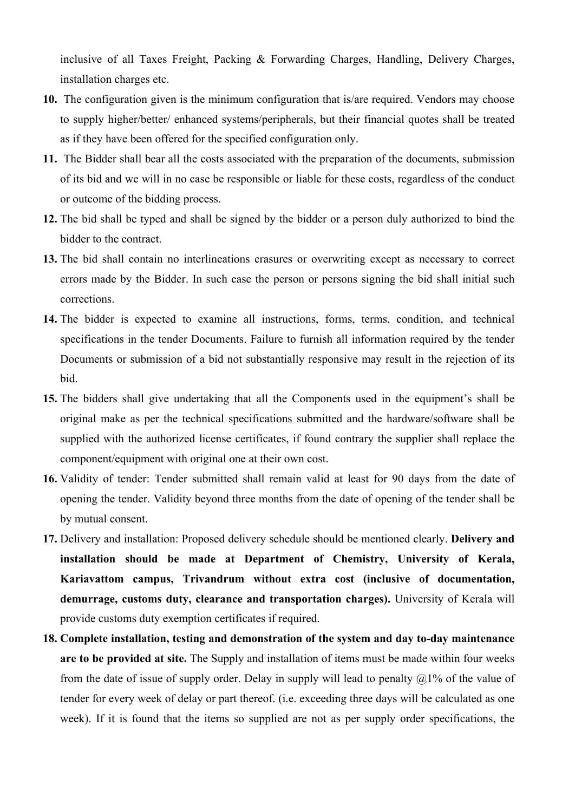inclusive of all Taxes Freight, Packing & Forwarding Charges, Handling, Delivery Charges, installation charges etc.

- **10.** The configuration given is the minimum configuration that is/are required. Vendors may choose to supply higher/better/ enhanced systems/peripherals, but their financial quotes shall be treated as if they have been offered for the specified configuration only.
- **11.** The Bidder shall bear all the costs associated with the preparation of the documents, submission of its bid and we will in no case be responsible or liable for these costs, regardless of the conduct or outcome of the bidding process.
- **12.** The bid shall be typed and shall be signed by the bidder or a person duly authorized to bind the bidder to the contract.
- **13.** The bid shall contain no interlineations erasures or overwriting except as necessary to correct errors made by the Bidder. In such case the person or persons signing the bid shall initial such corrections.
- **14.** The bidder is expected to examine all instructions, forms, terms, condition, and technical specifications in the tender Documents. Failure to furnish all information required by the tender Documents or submission of a bid not substantially responsive may result in the rejection of its bid.
- **15.** The bidders shall give undertaking that all the Components used in the equipment's shall be original make as per the technical specifications submitted and the hardware/software shall be supplied with the authorized license certificates, if found contrary the supplier shall replace the component/equipment with original one at their own cost.
- **16.** Validity of tender: Tender submitted shall remain valid at least for 90 days from the date of opening the tender. Validity beyond three months from the date of opening of the tender shall be by mutual consent.
- **17.** Delivery and installation: Proposed delivery schedule should be mentioned clearly. **Delivery and installation should be made at Department of Chemistry, University of Kerala, Kariavattom campus, Trivandrum without extra cost (inclusive of documentation, demurrage, customs duty, clearance and transportation charges).** University of Kerala will provide customs duty exemption certificates if required.
- **18. Complete installation, testing and demonstration of the system and day to-day maintenance are to be provided at site.** The Supply and installation of items must be made within four weeks from the date of issue of supply order. Delay in supply will lead to penalty  $\mathcal{Q}1\%$  of the value of tender for every week of delay or part thereof. (i.e. exceeding three days will be calculated as one week). If it is found that the items so supplied are not as per supply order specifications, the